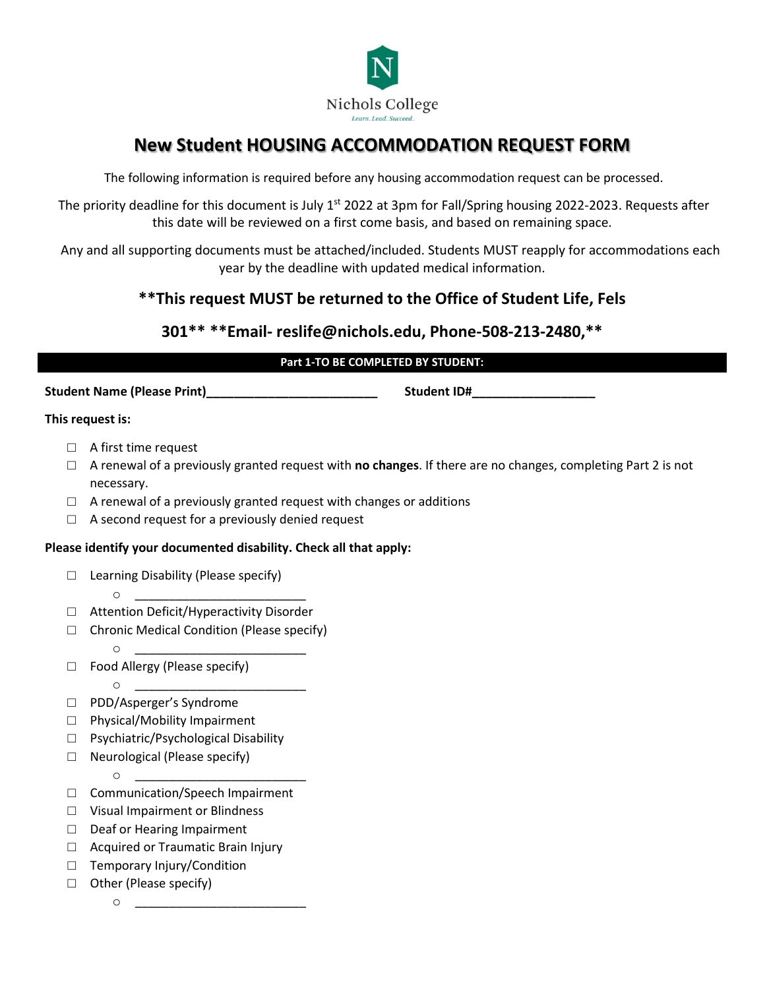

# **New Student HOUSING ACCOMMODATION REQUEST FORM**

The following information is required before any housing accommodation request can be processed.

The priority deadline for this document is July 1<sup>st</sup> 2022 at 3pm for Fall/Spring housing 2022-2023. Requests after this date will be reviewed on a first come basis, and based on remaining space.

Any and all supporting documents must be attached/included. Students MUST reapply for accommodations each year by the deadline with updated medical information.

## **\*\*This request MUST be returned to the Office of Student Life, Fels**

## **301\*\* \*\*Email- reslife@nichols.edu, Phone-508-213-2480,\*\***

#### **Part 1-TO BE COMPLETED BY STUDENT:**

**Student Name (Please Print)\_\_\_\_\_\_\_\_\_\_\_\_\_\_\_\_\_\_\_\_\_\_\_\_\_ Student ID#\_\_\_\_\_\_\_\_\_\_\_\_\_\_\_\_\_\_**

#### **This request is:**

- □ A first time request
- □ A renewal of a previously granted request with **no changes**. If there are no changes, completing Part 2 is not necessary.
- $\Box$  A renewal of a previously granted request with changes or additions
- $\Box$  A second request for a previously denied request

#### **Please identify your documented disability. Check all that apply:**

- □ Learning Disability (Please specify)
- o \_\_\_\_\_\_\_\_\_\_\_\_\_\_\_\_\_\_\_\_\_\_\_\_\_ □ Attention Deficit/Hyperactivity Disorder
- □ Chronic Medical Condition (Please specify)
	- o <u>\_\_\_\_\_\_\_\_\_\_\_\_\_\_\_\_\_\_\_\_\_\_\_\_\_\_</u>
- □ Food Allergy (Please specify)  $\circ$ 
	-
- □ PDD/Asperger's Syndrome
- □ Physical/Mobility Impairment
- □ Psychiatric/Psychological Disability
- □ Neurological (Please specify)
- o \_\_\_\_\_\_\_\_\_\_\_\_\_\_\_\_\_\_\_\_\_\_\_\_\_ □ Communication/Speech Impairment
- □ Visual Impairment or Blindness
- □ Deaf or Hearing Impairment
- □ Acquired or Traumatic Brain Injury
- □ Temporary Injury/Condition
- □ Other (Please specify)
	- $\circ$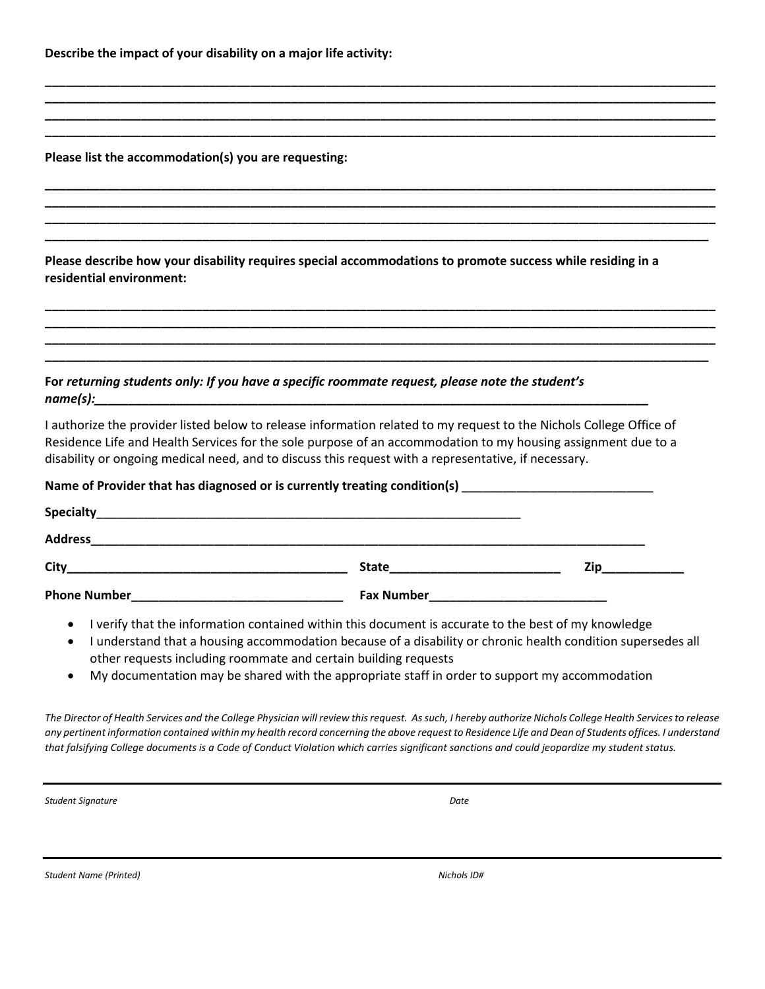**Describe the impact of your disability on a major life activity:**

**Please list the accommodation(s) you are requesting:**

**Please describe how your disability requires special accommodations to promote success while residing in a residential environment:** 

**\_\_\_\_\_\_\_\_\_\_\_\_\_\_\_\_\_\_\_\_\_\_\_\_\_\_\_\_\_\_\_\_\_\_\_\_\_\_\_\_\_\_\_\_\_\_\_\_\_\_\_\_\_\_\_\_\_\_\_\_\_\_\_\_\_\_\_\_\_\_\_\_\_\_\_\_\_\_\_\_\_\_\_\_\_\_\_\_\_\_\_\_\_\_\_\_\_\_ \_\_\_\_\_\_\_\_\_\_\_\_\_\_\_\_\_\_\_\_\_\_\_\_\_\_\_\_\_\_\_\_\_\_\_\_\_\_\_\_\_\_\_\_\_\_\_\_\_\_\_\_\_\_\_\_\_\_\_\_\_\_\_\_\_\_\_\_\_\_\_\_\_\_\_\_\_\_\_\_\_\_\_\_\_\_\_\_\_\_\_\_\_\_\_\_\_\_ \_\_\_\_\_\_\_\_\_\_\_\_\_\_\_\_\_\_\_\_\_\_\_\_\_\_\_\_\_\_\_\_\_\_\_\_\_\_\_\_\_\_\_\_\_\_\_\_\_\_\_\_\_\_\_\_\_\_\_\_\_\_\_\_\_\_\_\_\_\_\_\_\_\_\_\_\_\_\_\_\_\_\_\_\_\_\_\_\_\_\_\_\_\_\_\_\_\_ \_\_\_\_\_\_\_\_\_\_\_\_\_\_\_\_\_\_\_\_\_\_\_\_\_\_\_\_\_\_\_\_\_\_\_\_\_\_\_\_\_\_\_\_\_\_\_\_\_\_\_\_\_\_\_\_\_\_\_\_\_\_\_\_\_\_\_\_\_\_\_\_\_\_\_\_\_\_\_\_\_\_\_\_\_\_\_\_\_\_\_\_\_\_\_\_\_\_**

**\_\_\_\_\_\_\_\_\_\_\_\_\_\_\_\_\_\_\_\_\_\_\_\_\_\_\_\_\_\_\_\_\_\_\_\_\_\_\_\_\_\_\_\_\_\_\_\_\_\_\_\_\_\_\_\_\_\_\_\_\_\_\_\_\_\_\_\_\_\_\_\_\_\_\_\_\_\_\_\_\_\_\_\_\_\_\_\_\_\_\_\_\_\_\_\_\_\_ \_\_\_\_\_\_\_\_\_\_\_\_\_\_\_\_\_\_\_\_\_\_\_\_\_\_\_\_\_\_\_\_\_\_\_\_\_\_\_\_\_\_\_\_\_\_\_\_\_\_\_\_\_\_\_\_\_\_\_\_\_\_\_\_\_\_\_\_\_\_\_\_\_\_\_\_\_\_\_\_\_\_\_\_\_\_\_\_\_\_\_\_\_\_\_\_\_\_ \_\_\_\_\_\_\_\_\_\_\_\_\_\_\_\_\_\_\_\_\_\_\_\_\_\_\_\_\_\_\_\_\_\_\_\_\_\_\_\_\_\_\_\_\_\_\_\_\_\_\_\_\_\_\_\_\_\_\_\_\_\_\_\_\_\_\_\_\_\_\_\_\_\_\_\_\_\_\_\_\_\_\_\_\_\_\_\_\_\_\_\_\_\_\_\_\_\_ \_\_\_\_\_\_\_\_\_\_\_\_\_\_\_\_\_\_\_\_\_\_\_\_\_\_\_\_\_\_\_\_\_\_\_\_\_\_\_\_\_\_\_\_\_\_\_\_\_\_\_\_\_\_\_\_\_\_\_\_\_\_\_\_\_\_\_\_\_\_\_\_\_\_\_\_\_\_\_\_\_\_\_\_\_\_\_\_\_\_\_\_\_\_\_\_\_**

**\_\_\_\_\_\_\_\_\_\_\_\_\_\_\_\_\_\_\_\_\_\_\_\_\_\_\_\_\_\_\_\_\_\_\_\_\_\_\_\_\_\_\_\_\_\_\_\_\_\_\_\_\_\_\_\_\_\_\_\_\_\_\_\_\_\_\_\_\_\_\_\_\_\_\_\_\_\_\_\_\_\_\_\_\_\_\_\_\_\_\_\_\_\_\_\_\_\_ \_\_\_\_\_\_\_\_\_\_\_\_\_\_\_\_\_\_\_\_\_\_\_\_\_\_\_\_\_\_\_\_\_\_\_\_\_\_\_\_\_\_\_\_\_\_\_\_\_\_\_\_\_\_\_\_\_\_\_\_\_\_\_\_\_\_\_\_\_\_\_\_\_\_\_\_\_\_\_\_\_\_\_\_\_\_\_\_\_\_\_\_\_\_\_\_\_\_ \_\_\_\_\_\_\_\_\_\_\_\_\_\_\_\_\_\_\_\_\_\_\_\_\_\_\_\_\_\_\_\_\_\_\_\_\_\_\_\_\_\_\_\_\_\_\_\_\_\_\_\_\_\_\_\_\_\_\_\_\_\_\_\_\_\_\_\_\_\_\_\_\_\_\_\_\_\_\_\_\_\_\_\_\_\_\_\_\_\_\_\_\_\_\_\_\_\_ \_\_\_\_\_\_\_\_\_\_\_\_\_\_\_\_\_\_\_\_\_\_\_\_\_\_\_\_\_\_\_\_\_\_\_\_\_\_\_\_\_\_\_\_\_\_\_\_\_\_\_\_\_\_\_\_\_\_\_\_\_\_\_\_\_\_\_\_\_\_\_\_\_\_\_\_\_\_\_\_\_\_\_\_\_\_\_\_\_\_\_\_\_\_\_\_\_**

### **For** *returning students only: If you have a specific roommate request, please note the student's name(s):\_\_\_\_\_\_\_\_\_\_\_\_\_\_\_\_\_\_\_\_\_\_\_\_\_\_\_\_\_\_\_\_\_\_\_\_\_\_\_\_\_\_\_\_\_\_\_\_\_\_\_\_\_\_\_\_\_\_\_\_\_\_\_\_\_\_\_\_\_\_\_\_\_\_\_\_\_\_\_\_\_*

I authorize the provider listed below to release information related to my request to the Nichols College Office of Residence Life and Health Services for the sole purpose of an accommodation to my housing assignment due to a disability or ongoing medical need, and to discuss this request with a representative, if necessary.

| Name of Provider that has diagnosed or is currently treating condition(s) |
|---------------------------------------------------------------------------|
|---------------------------------------------------------------------------|

| Specialty           |                   |     |
|---------------------|-------------------|-----|
| <b>Address</b>      |                   |     |
| City                | <b>State</b>      | Zin |
| <b>Phone Number</b> | <b>Fax Number</b> |     |

- I verify that the information contained within this document is accurate to the best of my knowledge
- I understand that a housing accommodation because of a disability or chronic health condition supersedes all other requests including roommate and certain building requests
- My documentation may be shared with the appropriate staff in order to support my accommodation

*The Director of Health Services and the College Physician will review this request. As such, I hereby authorize Nichols College Health Services to release any pertinent information contained within my health record concerning the above request to Residence Life and Dean of Students offices. I understand that falsifying College documents is a Code of Conduct Violation which carries significant sanctions and could jeopardize my student status.*

**Student Signature** Date **Date** Date **Date 2016** 

*Student Name (Printed) Nichols ID#*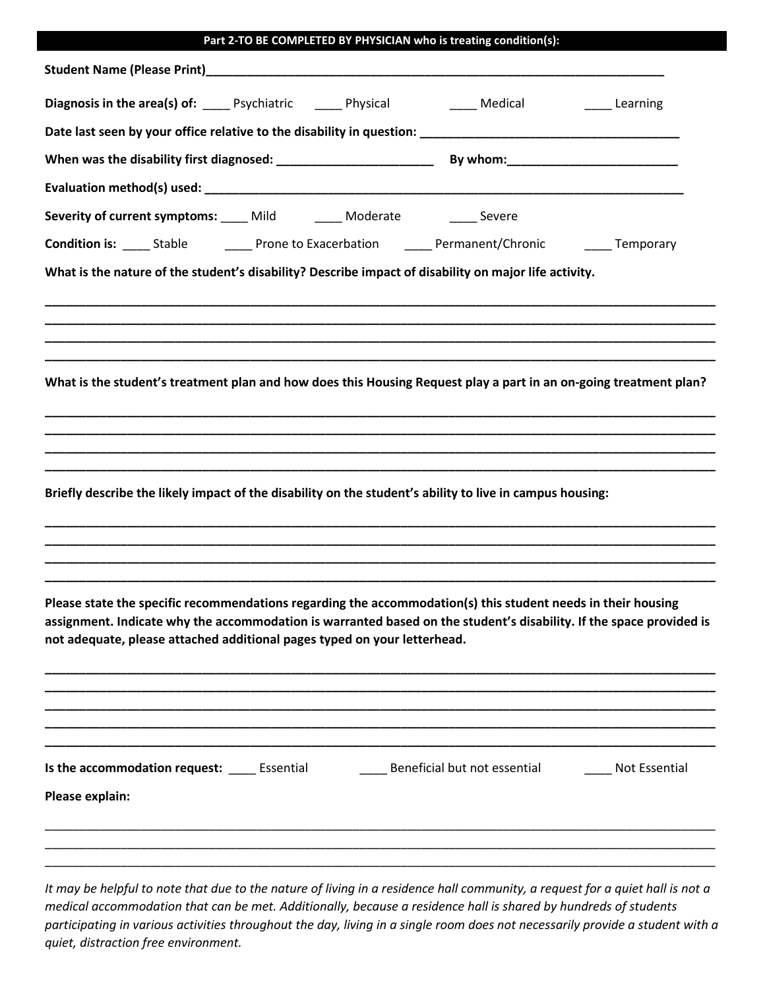| Part 2-TO BE COMPLETED BY PHYSICIAN who is treating condition(s):                                                   |
|---------------------------------------------------------------------------------------------------------------------|
|                                                                                                                     |
| Diagnosis in the area(s) of: _____ Psychiatric ______ Physical ________ Medical _______________ Learning            |
|                                                                                                                     |
|                                                                                                                     |
|                                                                                                                     |
| Severity of current symptoms: ____ Mild ______ Moderate ______ Severe                                               |
| <b>Condition is:</b> _____ Stable ___________ Prone to Exacerbation _______ Permanent/Chronic ________ Temporary    |
| What is the nature of the student's disability? Describe impact of disability on major life activity.               |
|                                                                                                                     |
|                                                                                                                     |
|                                                                                                                     |
|                                                                                                                     |
| What is the student's treatment plan and how does this Housing Request play a part in an on-going treatment plan?   |
|                                                                                                                     |
|                                                                                                                     |
|                                                                                                                     |
| Briefly describe the likely impact of the disability on the student's ability to live in campus housing:            |
|                                                                                                                     |
|                                                                                                                     |
|                                                                                                                     |
| Please state the specific recommendations regarding the accommodation(s) this student needs in their housing        |
| assignment. Indicate why the accommodation is warranted based on the student's disability. If the space provided is |
| not adequate, please attached additional pages typed on your letterhead.                                            |
|                                                                                                                     |
|                                                                                                                     |
|                                                                                                                     |
|                                                                                                                     |
| Is the accommodation request: Essential Beneficial but not essential Not Essential                                  |
| Please explain:                                                                                                     |
|                                                                                                                     |
|                                                                                                                     |
|                                                                                                                     |

*It may be helpful to note that due to the nature of living in a residence hall community, a request for a quiet hall is not a medical accommodation that can be met. Additionally, because a residence hall is shared by hundreds of students participating in various activities throughout the day, living in a single room does not necessarily provide a student with a quiet, distraction free environment.*